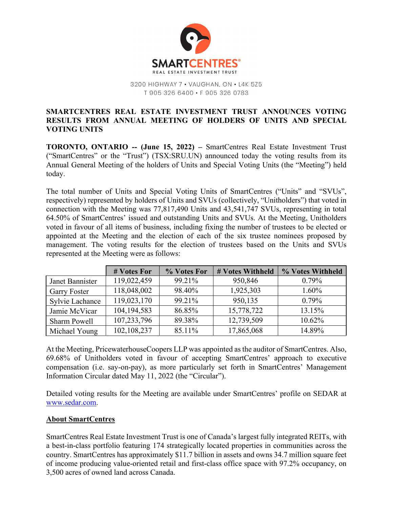

3200 HIGHWAY 7 · VAUGHAN, ON · L4K 5Z5 T 905 326 6400 · F 905 326 0783

## **SMARTCENTRES REAL ESTATE INVESTMENT TRUST ANNOUNCES VOTING RESULTS FROM ANNUAL MEETING OF HOLDERS OF UNITS AND SPECIAL VOTING UNITS**

**TORONTO, ONTARIO -- (June 15, 2022) –** SmartCentres Real Estate Investment Trust ("SmartCentres" or the "Trust") (TSX:SRU.UN) announced today the voting results from its Annual General Meeting of the holders of Units and Special Voting Units (the "Meeting") held today.

The total number of Units and Special Voting Units of SmartCentres ("Units" and "SVUs", respectively) represented by holders of Units and SVUs (collectively, "Unitholders") that voted in connection with the Meeting was 77,817,490 Units and 43,541,747 SVUs, representing in total 64.50% of SmartCentres' issued and outstanding Units and SVUs. At the Meeting, Unitholders voted in favour of all items of business, including fixing the number of trustees to be elected or appointed at the Meeting and the election of each of the six trustee nominees proposed by management. The voting results for the election of trustees based on the Units and SVUs represented at the Meeting were as follows:

|                     | # Votes For   | % Votes For | # Votes Withheld | % Votes Withheld |
|---------------------|---------------|-------------|------------------|------------------|
| Janet Bannister     | 119,022,459   | 99.21%      | 950,846          | $0.79\%$         |
| <b>Garry Foster</b> | 118,048,002   | 98.40%      | 1,925,303        | 1.60%            |
| Sylvie Lachance     | 119,023,170   | 99.21%      | 950,135          | $0.79\%$         |
| Jamie McVicar       | 104, 194, 583 | 86.85%      | 15,778,722       | 13.15%           |
| Sharm Powell        | 107,233,796   | 89.38%      | 12,739,509       | 10.62%           |
| Michael Young       | 102,108,237   | 85.11%      | 17,865,068       | 14.89%           |

At the Meeting, PricewaterhouseCoopers LLP was appointed as the auditor of SmartCentres. Also, 69.68% of Unitholders voted in favour of accepting SmartCentres' approach to executive compensation (i.e. say-on-pay), as more particularly set forth in SmartCentres' Management Information Circular dated May 11, 2022 (the "Circular").

Detailed voting results for the Meeting are available under SmartCentres' profile on SEDAR at www.sedar.com.

## **About SmartCentres**

SmartCentres Real Estate Investment Trust is one of Canada's largest fully integrated REITs, with a best-in-class portfolio featuring 174 strategically located properties in communities across the country. SmartCentres has approximately \$11.7 billion in assets and owns 34.7 million square feet of income producing value-oriented retail and first-class office space with 97.2% occupancy, on 3,500 acres of owned land across Canada.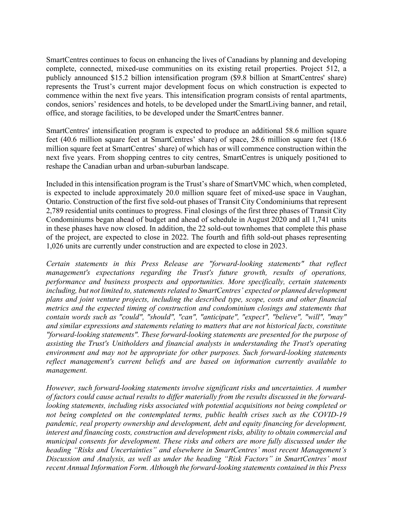SmartCentres continues to focus on enhancing the lives of Canadians by planning and developing complete, connected, mixed-use communities on its existing retail properties. Project 512, a publicly announced \$15.2 billion intensification program (\$9.8 billion at SmartCentres' share) represents the Trust's current major development focus on which construction is expected to commence within the next five years. This intensification program consists of rental apartments, condos, seniors' residences and hotels, to be developed under the SmartLiving banner, and retail, office, and storage facilities, to be developed under the SmartCentres banner.

SmartCentres' intensification program is expected to produce an additional 58.6 million square feet (40.6 million square feet at SmartCentres' share) of space, 28.6 million square feet (18.6 million square feet at SmartCentres' share) of which has or will commence construction within the next five years. From shopping centres to city centres, SmartCentres is uniquely positioned to reshape the Canadian urban and urban-suburban landscape.

Included in this intensification program is the Trust's share of SmartVMC which, when completed, is expected to include approximately 20.0 million square feet of mixed-use space in Vaughan, Ontario. Construction of the first five sold-out phases of Transit City Condominiums that represent 2,789 residential units continues to progress. Final closings of the first three phases of Transit City Condominiums began ahead of budget and ahead of schedule in August 2020 and all 1,741 units in these phases have now closed. In addition, the 22 sold-out townhomes that complete this phase of the project, are expected to close in 2022. The fourth and fifth sold-out phases representing 1,026 units are currently under construction and are expected to close in 2023.

*Certain statements in this Press Release are "forward-looking statements" that reflect management's expectations regarding the Trust's future growth, results of operations, performance and business prospects and opportunities. More specifically, certain statements including, but not limited to, statements related to SmartCentres' expected or planned development plans and joint venture projects, including the described type, scope, costs and other financial metrics and the expected timing of construction and condominium closings and statements that contain words such as "could", "should", "can", "anticipate", "expect", "believe", "will", "may" and similar expressions and statements relating to matters that are not historical facts, constitute "forward-looking statements". These forward-looking statements are presented for the purpose of assisting the Trust's Unitholders and financial analysts in understanding the Trust's operating environment and may not be appropriate for other purposes. Such forward-looking statements reflect management's current beliefs and are based on information currently available to management.* 

*However, such forward-looking statements involve significant risks and uncertainties. A number of factors could cause actual results to differ materially from the results discussed in the forwardlooking statements, including risks associated with potential acquisitions not being completed or not being completed on the contemplated terms, public health crises such as the COVID-19 pandemic, real property ownership and development, debt and equity financing for development, interest and financing costs, construction and development risks, ability to obtain commercial and municipal consents for development. These risks and others are more fully discussed under the heading "Risks and Uncertainties" and elsewhere in SmartCentres' most recent Management's Discussion and Analysis, as well as under the heading "Risk Factors" in SmartCentres' most recent Annual Information Form. Although the forward-looking statements contained in this Press*